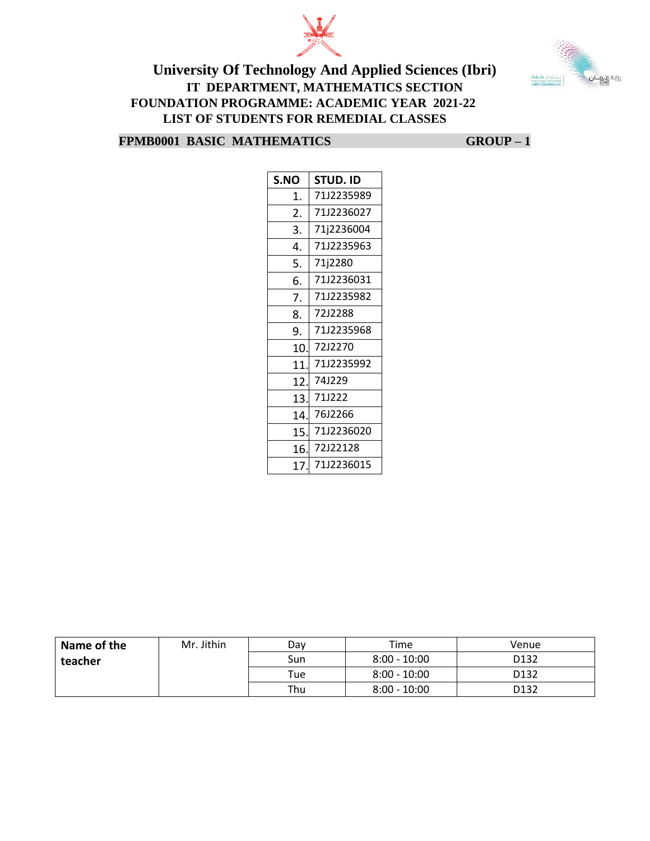



| S.NO | STUD. ID   |
|------|------------|
| 1.   | 71J2235989 |
| 2.   | 71J2236027 |
| 3.   | 71j2236004 |
| 4.   | 71J2235963 |
| 5.   | 71j2280    |
| 6.   | 71J2236031 |
| 7.   | 71J2235982 |
| 8.   | 72J2288    |
| 9.   | 71J2235968 |
| 10.  | 7212270    |
| 11   | 71J2235992 |
| 12.  | 741229     |
| 13.  | 71J222     |
| 14.  | 76J2266    |
| 15.  | 71J2236020 |
| 16.  | 72J22128   |
| 17.  | 71J2236015 |

| Name of the | Mr. Jithin | Dav | Time           | Venue            |
|-------------|------------|-----|----------------|------------------|
| teacher     |            | Sun | $8:00 - 10:00$ | D132             |
|             |            | Tue | $8:00 - 10:00$ | D <sub>132</sub> |
|             |            | Thu | $8:00 - 10:00$ | D132             |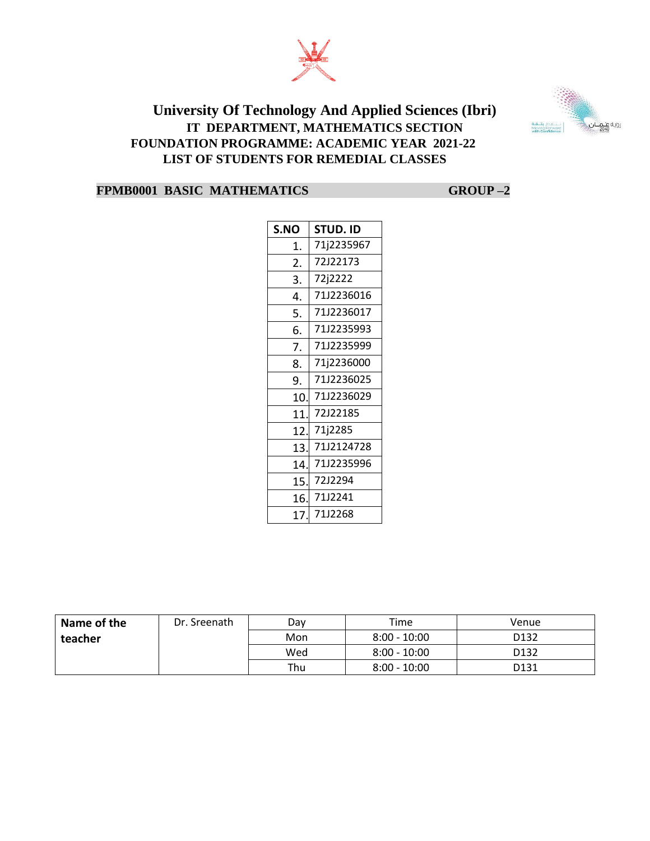



| S.NO | STUD. ID   |
|------|------------|
| 1.   | 71j2235967 |
| 2.   | 72J22173   |
| 3.   | 72j2222    |
| 4.   | 71J2236016 |
| 5.   | 71J2236017 |
| 6.   | 71J2235993 |
| 7.   | 71J2235999 |
| 8.   | 71j2236000 |
| 9.   | 71J2236025 |
| 10.  | 71J2236029 |
| 11.  | 72J22185   |
| 12.  | 71j2285    |
| 13.  | 7112124728 |
| 14.  | 71J2235996 |
| 15.  | 72J2294    |
| 16.  | 7112241    |
| 17.  | 71J2268    |

| Name of the | Dr. Sreenath | Dav | Time           | Venue            |
|-------------|--------------|-----|----------------|------------------|
| teacher     |              | Mon | $8:00 - 10:00$ | D <sub>132</sub> |
|             |              | Wed | $8:00 - 10:00$ | D <sub>132</sub> |
|             |              | Thu | $8:00 - 10:00$ | D <sub>131</sub> |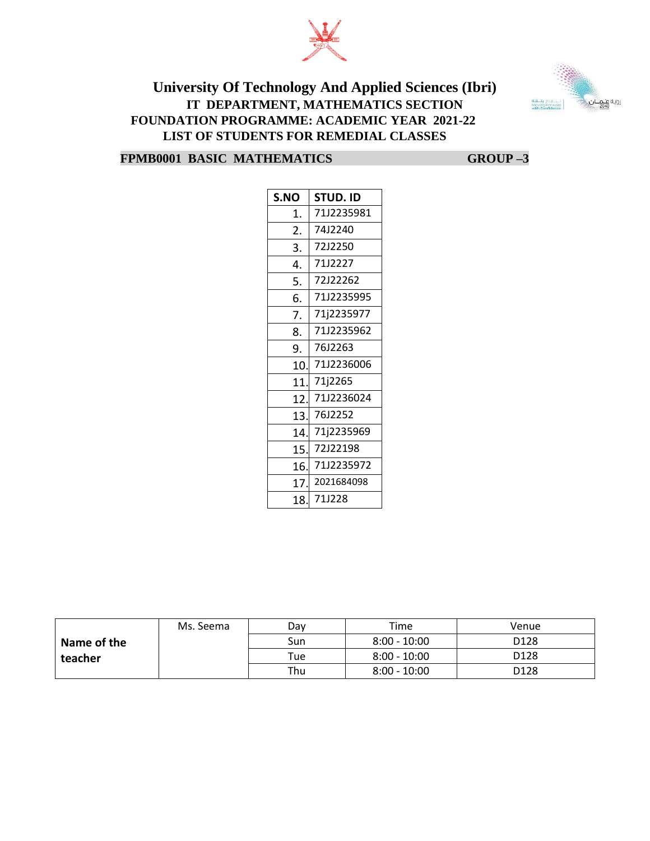



| S.NO | STUD. ID   |
|------|------------|
| 1.   | 71J2235981 |
| 2.   | 74J2240    |
| 3.   | 72J2250    |
| 4.   | 71J2227    |
| 5.   | 72J22262   |
| 6.   | 71J2235995 |
| 7.   | 71j2235977 |
| 8.   | 71J2235962 |
| 9.   | 76J2263    |
| 10   | 71J2236006 |
| 11   | 71j2265    |
| 12   | 71J2236024 |
| 13.  | 76J2252    |
| 14.  | 71j2235969 |
| 15.  | 72122198   |
| 16.  | 71J2235972 |
| 17.  | 2021684098 |
| 18   | 71J228     |

|             | Ms. Seema | Dav  | Time           | Venue            |
|-------------|-----------|------|----------------|------------------|
| Name of the |           | Sun  | $8:00 - 10:00$ | D <sub>128</sub> |
| teacher     |           | Tuel | $8:00 - 10:00$ | D <sub>128</sub> |
|             |           | Thu  | $8:00 - 10:00$ | D <sub>128</sub> |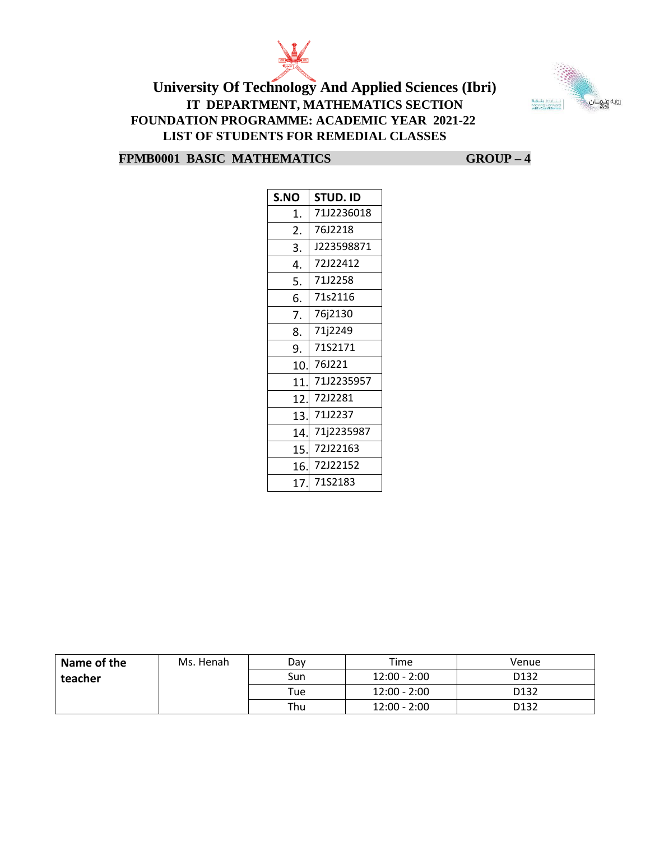



| S.NO | <b>STUD. ID</b> |
|------|-----------------|
| 1.   | 71J2236018      |
| 2.   | 76J2218         |
| 3.   | J223598871      |
| 4.   | 72J22412        |
| 5.   | 71J2258         |
| 6.   | 71s2116         |
| 7.   | 76j2130         |
| 8.   | 71j2249         |
| 9.   | 71S2171         |
| 10.  | 76J221          |
| 11   | 71J2235957      |
| 12.  | 72J2281         |
| 13.  | 71J2237         |
| 14.  | 71j2235987      |
| 15.  | 72J22163        |
| 16.  | 72J22152        |
| 17.  | 71S2183         |

| Name of the | Ms. Henah | Dav | Time           | Venue            |
|-------------|-----------|-----|----------------|------------------|
| teacher     |           | Sun | $12:00 - 2:00$ | D <sub>132</sub> |
|             |           | Tue | 12:00 - 2:00   | D <sub>132</sub> |
|             |           | Thu | $12:00 - 2:00$ | D <sub>132</sub> |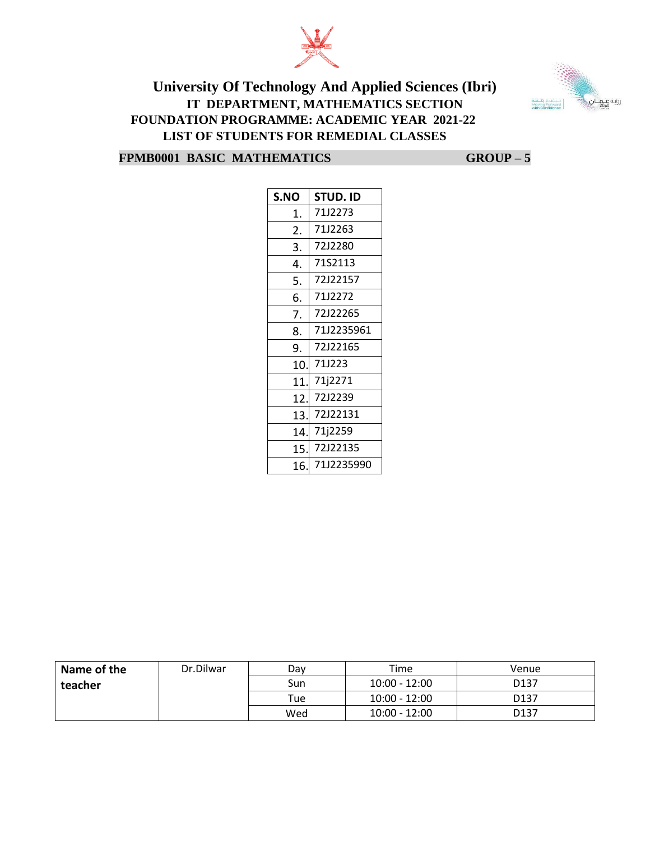



| S.NO | <b>STUD. ID</b> |
|------|-----------------|
| 1.   | 71J2273         |
| 2.   | 71J2263         |
| 3.   | 72J2280         |
| 4.   | 71S2113         |
| 5.   | 72J22157        |
| 6.   | 71J2272         |
| 7.   | 72J22265        |
| 8.   | 71J2235961      |
| 9.   | 72J22165        |
| 10.  | 711223          |
| 11.  | 71j2271         |
| 12.  | 72J2239         |
| 13.  | 72J22131        |
| 14.  | 71j2259         |
| 15.  | 72122135        |
| 16.  | 71J2235990      |

| Name of the | Dr.Dilwar | Dav | Time            | Venue            |
|-------------|-----------|-----|-----------------|------------------|
| teacher     |           | Sun | $10:00 - 12:00$ | D <sub>137</sub> |
|             |           | Tue | $10:00 - 12:00$ | D <sub>137</sub> |
|             |           | Wed | $10:00 - 12:00$ | D <sub>137</sub> |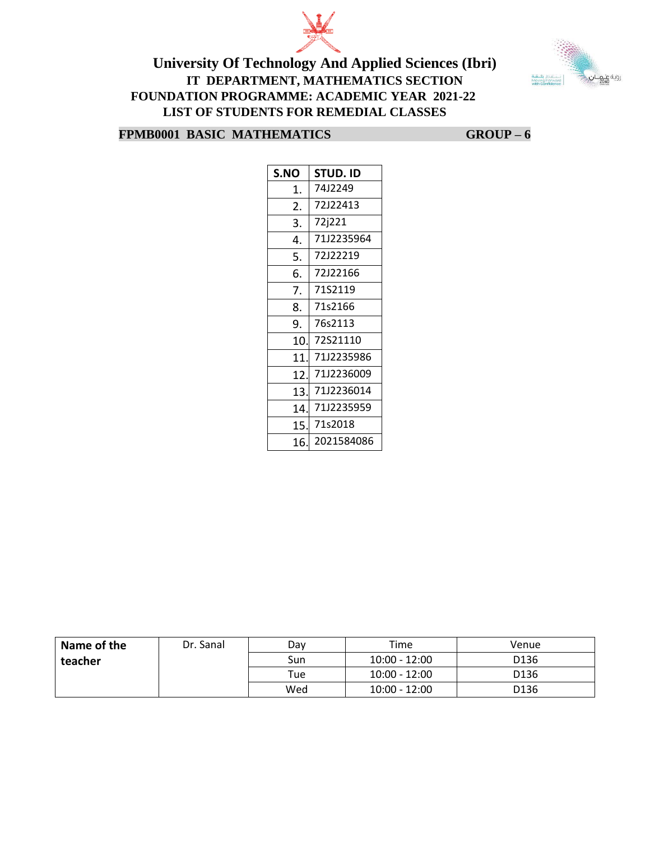



| S.NO | STUD. ID   |
|------|------------|
| 1.   | 74J2249    |
| 2.   | 72J22413   |
| 3.   | 72j221     |
| 4.   | 71J2235964 |
| 5.   | 72122219   |
| 6.   | 72122166   |
| 7.   | 71S2119    |
| 8.   | 71s2166    |
| 9.   | 76s2113    |
| 10.  | 72S21110   |
| 11   | 71J2235986 |
| 12.  | 71J2236009 |
| 13.  | 71J2236014 |
| 14.  | 71J2235959 |
| 15.  | 71s2018    |
| 16.  | 2021584086 |

| Name of the | Dr. Sanal | Dav | Time            | Venue |
|-------------|-----------|-----|-----------------|-------|
| teacher     |           | Sun | $10:00 - 12:00$ | D136  |
|             |           | Tue | $10:00 - 12:00$ | D136  |
|             |           | Wed | $10:00 - 12:00$ | D136  |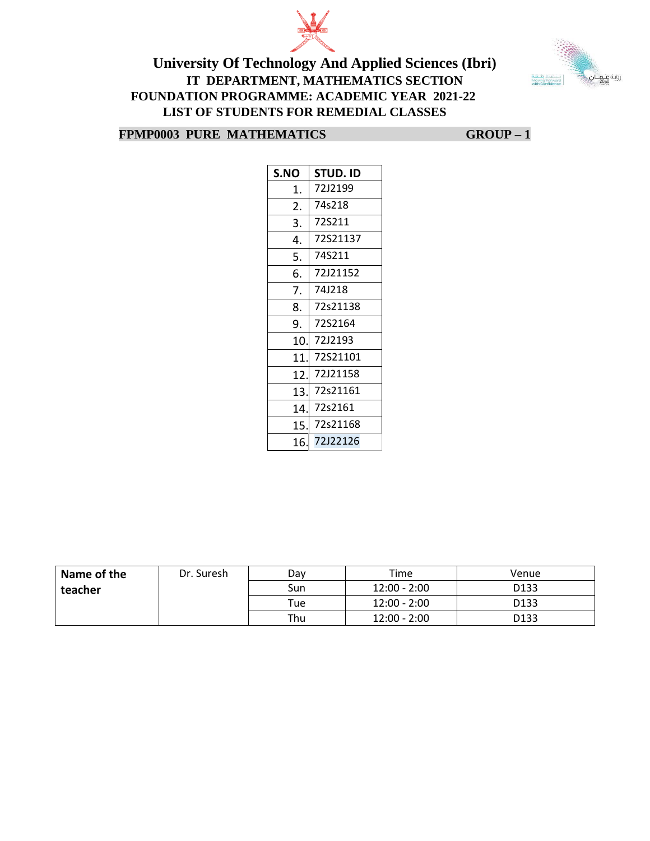



**FPMP0003 PURE MATHEMATICS GROUP – 1**

| S.NO | STUD. ID |
|------|----------|
| 1.   | 72J2199  |
| 2.   | 74s218   |
| 3.   | 72S211   |
| 4.   | 72S21137 |
| 5.   | 74S211   |
| 6.   | 72J21152 |
| 7.   | 74J218   |
| 8.   | 72s21138 |
| 9.   | 72S2164  |
| 10.  | 72J2193  |
| 11.  | 72S21101 |
| 12.  | 72J21158 |
| 13.  | 72s21161 |
| 14.  | 72s2161  |
| 15.  | 72s21168 |
| 16.  | 72J22126 |

| Name of the | Dr. Suresh | Dav | Time           | Venue            |
|-------------|------------|-----|----------------|------------------|
| teacher     |            | Sun | $12:00 - 2:00$ | D <sub>133</sub> |
|             |            | Tue | 12:00 - 2:00   | D <sub>133</sub> |
|             |            | Thu | $12:00 - 2:00$ | D <sub>133</sub> |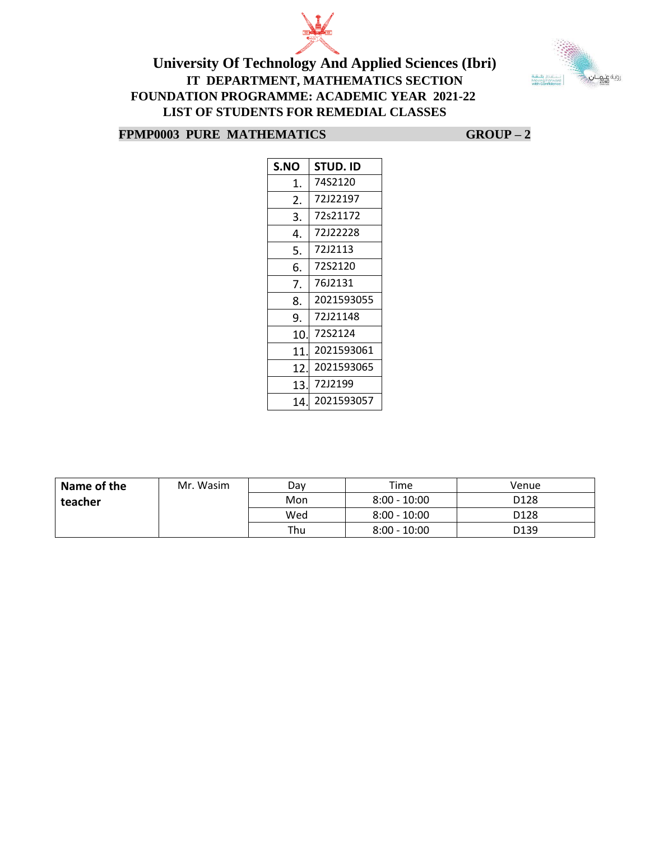



#### **FPMP0003 PURE MATHEMATICS GROUP – 2**

| S.NO | STUD. ID   |
|------|------------|
| 1.   | 74S2120    |
| 2.   | 72122197   |
| 3.   | 72s21172   |
| 4.   | 72122228   |
| 5.   | 72J2113    |
| 6.   | 72S2120    |
| 7.   | 76J2131    |
| 8.   | 2021593055 |
| 9.   | 72121148   |
| 10   | 72S2124    |
| 11   | 2021593061 |
| 12   | 2021593065 |
| 13   | 72J2199    |
| 14   | 2021593057 |

| Name of the | Mr. Wasim | Dav | Time           | Venue            |
|-------------|-----------|-----|----------------|------------------|
| teacher     |           | Mon | $8:00 - 10:00$ | D <sub>128</sub> |
|             |           | Wed | $8:00 - 10:00$ | D <sub>128</sub> |
|             |           | Thu | $8:00 - 10:00$ | D <sub>139</sub> |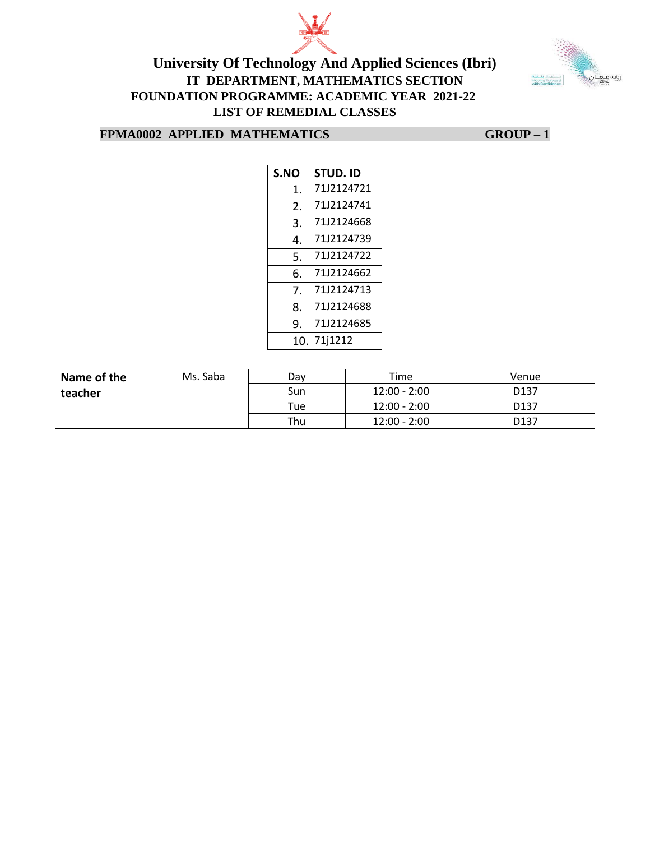



#### **FPMA0002 APPLIED MATHEMATICS GROUP – 1**

| S.NO | STUD. ID   |  |  |
|------|------------|--|--|
| 1.   | 7112124721 |  |  |
| 2.   | 7112124741 |  |  |
| 3.   | 7112124668 |  |  |
| 4.   | 71J2124739 |  |  |
| 5.   | 71J2124722 |  |  |
| 6.   | 71J2124662 |  |  |
| 7.   | 7112124713 |  |  |
| 8.   | 71J2124688 |  |  |
| 9.   | 71J2124685 |  |  |
| 10   | 71j1212    |  |  |

| Name of the | Ms. Saba | Dav | Time           | Venue            |
|-------------|----------|-----|----------------|------------------|
| teacher     |          | Sun | $12:00 - 2:00$ | D <sub>137</sub> |
|             |          | Tue | $12:00 - 2:00$ | D <sub>137</sub> |
|             |          | Thu | $12:00 - 2:00$ | D <sub>137</sub> |